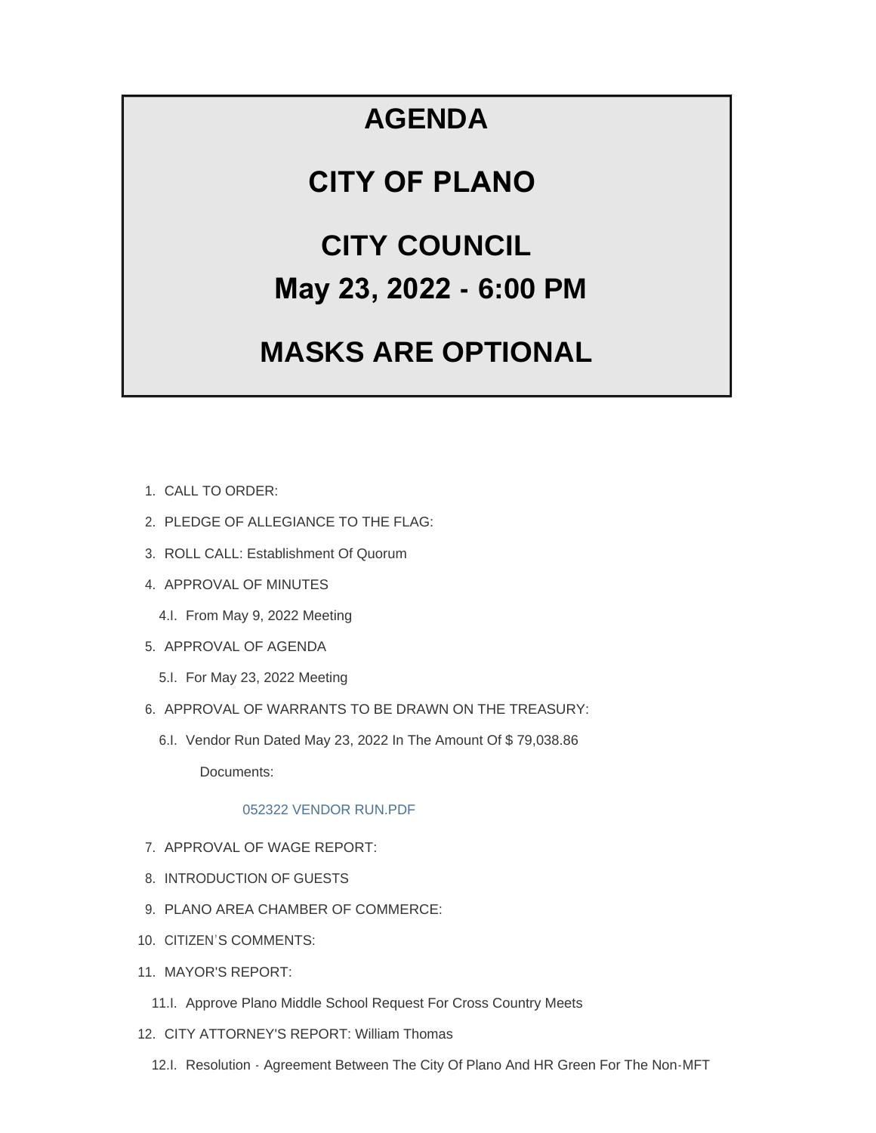## **AGENDA**

### **CITY OF PLANO**

# **CITY COUNCIL May 23, 2022 - 6:00 PM**

## **MASKS ARE OPTIONAL**

- CALL TO ORDER: 1.
- 2. PLEDGE OF ALLEGIANCE TO THE FLAG:
- 3. ROLL CALL: Establishment Of Quorum
- 4. APPROVAL OF MINUTES
	- 4.I. From May 9, 2022 Meeting
- 5. APPROVAL OF AGENDA
	- 5.I. For May 23, 2022 Meeting
- 6. APPROVAL OF WARRANTS TO BE DRAWN ON THE TREASURY:
	- 6.I. Vendor Run Dated May 23, 2022 In The Amount Of \$79,038.86

Documents:

#### [052322 VENDOR RUN.PDF](https://www.cityofplanoil.com/AgendaCenter/ViewFile/Item/9028?fileID=2541)

- 7. APPROVAL OF WAGE REPORT:
- 8. INTRODUCTION OF GUESTS
- 9. PLANO AREA CHAMBER OF COMMERCE:
- 10. CITIZEN'S COMMENTS:
- 11. MAYOR'S REPORT:
	- 11.I. Approve Plano Middle School Request For Cross Country Meets
- 12. CITY ATTORNEY'S REPORT: William Thomas
	- 12.I. Resolution Agreement Between The City Of Plano And HR Green For The Non-MFT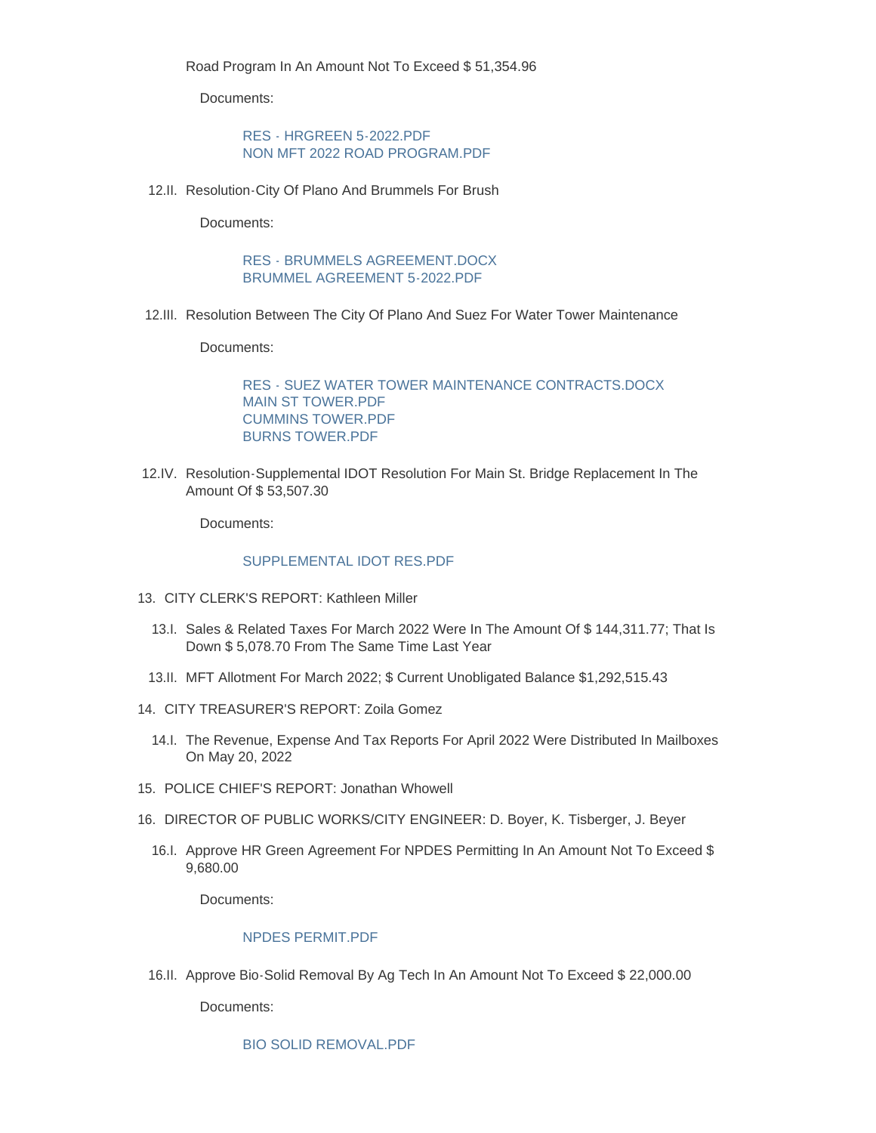Road Program In An Amount Not To Exceed \$ 51,354.96

Documents:

[RES - HRGREEN 5-2022.PDF](https://www.cityofplanoil.com/AgendaCenter/ViewFile/Item/9033?fileID=2537) [NON MFT 2022 ROAD PROGRAM.PDF](https://www.cityofplanoil.com/AgendaCenter/ViewFile/Item/9033?fileID=2538)

12.II. Resolution-City Of Plano And Brummels For Brush

Documents:

#### [RES - BRUMMELS AGREEMENT.DOCX](https://www.cityofplanoil.com/AgendaCenter/ViewFile/Item/9031?fileID=2531) [BRUMMEL AGREEMENT 5-2022.PDF](https://www.cityofplanoil.com/AgendaCenter/ViewFile/Item/9031?fileID=2532)

12.III. Resolution Between The City Of Plano And Suez For Water Tower Maintenance

Documents:

[RES - SUEZ WATER TOWER MAINTENANCE CONTRACTS.DOCX](https://www.cityofplanoil.com/AgendaCenter/ViewFile/Item/9032?fileID=2533) [MAIN ST TOWER.PDF](https://www.cityofplanoil.com/AgendaCenter/ViewFile/Item/9032?fileID=2534) [CUMMINS TOWER.PDF](https://www.cityofplanoil.com/AgendaCenter/ViewFile/Item/9032?fileID=2535) [BURNS TOWER.PDF](https://www.cityofplanoil.com/AgendaCenter/ViewFile/Item/9032?fileID=2536)

12.IV. Resolution-Supplemental IDOT Resolution For Main St. Bridge Replacement In The Amount Of \$ 53,507.30

Documents:

#### [SUPPLEMENTAL IDOT RES.PDF](https://www.cityofplanoil.com/AgendaCenter/ViewFile/Item/9030?fileID=2530)

- CITY CLERK'S REPORT: Kathleen Miller 13.
	- 13.I. Sales & Related Taxes For March 2022 Were In The Amount Of \$144,311.77; That Is Down \$ 5,078.70 From The Same Time Last Year
	- 13.II. MFT Allotment For March 2022; \$ Current Unobligated Balance \$1,292,515.43
- CITY TREASURER'S REPORT: Zoila Gomez 14.
	- 14.I. The Revenue, Expense And Tax Reports For April 2022 Were Distributed In Mailboxes On May 20, 2022
- 15. POLICE CHIEF'S REPORT: Jonathan Whowell
- 16. DIRECTOR OF PUBLIC WORKS/CITY ENGINEER: D. Boyer, K. Tisberger, J. Beyer
	- 16.I. Approve HR Green Agreement For NPDES Permitting In An Amount Not To Exceed \$ 9,680.00

Documents:

#### [NPDES PERMIT.PDF](https://www.cityofplanoil.com/AgendaCenter/ViewFile/Item/9037?fileID=2539)

16.II. Approve Bio-Solid Removal By Ag Tech In An Amount Not To Exceed \$ 22,000.00

Documents:

[BIO SOLID REMOVAL.PDF](https://www.cityofplanoil.com/AgendaCenter/ViewFile/Item/9038?fileID=2540)